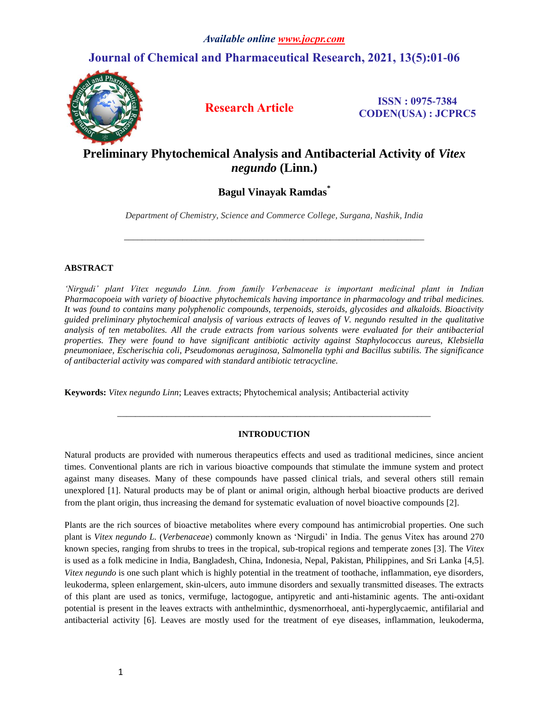## **Journal of Chemical and Pharmaceutical Research, 2021, 13(5):01-06**



**Research Article ISSN : 0975-7384 CODEN(USA) : JCPRC5**

# **Preliminary Phytochemical Analysis and Antibacterial Activity of** *Vitex negundo* **(Linn.)**

## **Bagul Vinayak Ramdas\***

*Department of Chemistry, Science and Commerce College, Surgana, Nashik, India* 

*\_\_\_\_\_\_\_\_\_\_\_\_\_\_\_\_\_\_\_\_\_\_\_\_\_\_\_\_\_\_\_\_\_\_\_\_\_\_\_\_\_\_\_\_\_\_\_\_\_\_\_\_\_\_\_\_\_\_\_\_\_\_\_\_\_\_\_*

## **ABSTRACT**

*'Nirgudi' plant Vitex negundo Linn. from family Verbenaceae is important medicinal plant in Indian Pharmacopoeia with variety of bioactive phytochemicals having importance in pharmacology and tribal medicines. It was found to contains many polyphenolic compounds, terpenoids, steroids, glycosides and alkaloids. Bioactivity guided preliminary phytochemical analysis of various extracts of leaves of V. negundo resulted in the qualitative analysis of ten metabolites. All the crude extracts from various solvents were evaluated for their antibacterial properties. They were found to have significant antibiotic activity against Staphylococcus aureus, Klebsiella pneumoniaee, Escherischia coli, Pseudomonas aeruginosa, Salmonella typhi and Bacillus subtilis. The significance of antibacterial activity was compared with standard antibiotic tetracycline.*

**Keywords:** *Vitex negundo Linn*; Leaves extracts; Phytochemical analysis; Antibacterial activity

## **INTRODUCTION**

*\_\_\_\_\_\_\_\_\_\_\_\_\_\_\_\_\_\_\_\_\_\_\_\_\_\_\_\_\_\_\_\_\_\_\_\_\_\_\_\_\_\_\_\_\_\_\_\_\_\_\_\_\_\_\_\_\_\_\_\_\_\_\_\_\_\_\_\_\_\_*

Natural products are provided with numerous therapeutics effects and used as traditional medicines, since ancient times. Conventional plants are rich in various bioactive compounds that stimulate the immune system and protect against many diseases. Many of these compounds have passed clinical trials, and several others still remain unexplored [1]. Natural products may be of plant or animal origin, although herbal bioactive products are derived from the plant origin, thus increasing the demand for systematic evaluation of novel bioactive compounds [2].

Plants are the rich sources of bioactive metabolites where every compound has antimicrobial properties. One such plant is *Vitex negundo L.* (*Verbenaceae*) commonly known as 'Nirgudi' in India. The genus Vitex has around 270 known species, ranging from shrubs to trees in the tropical, sub-tropical regions and temperate zones [3]. The *Vitex* is used as a folk medicine in India, Bangladesh, China, Indonesia, Nepal, Pakistan, Philippines, and Sri Lanka [4,5]. *Vitex negundo* is one such plant which is highly potential in the treatment of toothache, inflammation, eye disorders, leukoderma, spleen enlargement, skin-ulcers, auto immune disorders and sexually transmitted diseases. The extracts of this plant are used as tonics, vermifuge, lactogogue, antipyretic and anti-histaminic agents. The anti-oxidant potential is present in the leaves extracts with anthelminthic, dysmenorrhoeal, anti-hyperglycaemic, antifilarial and antibacterial activity [6]. Leaves are mostly used for the treatment of eye diseases, inflammation, leukoderma,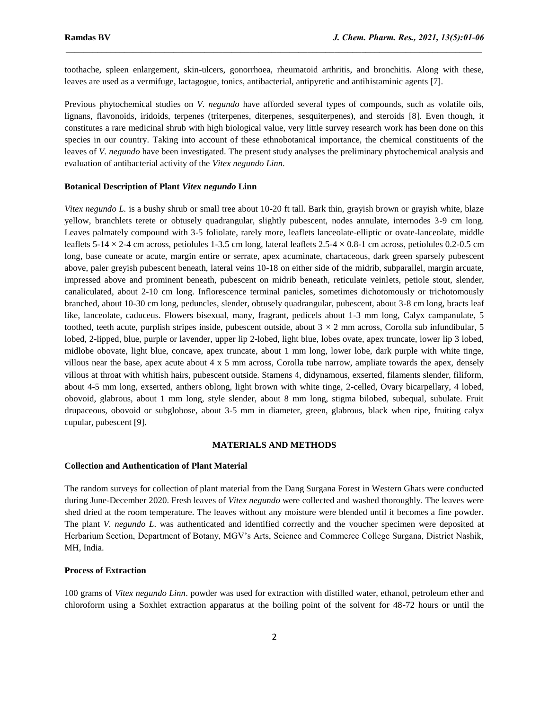toothache, spleen enlargement, skin-ulcers, gonorrhoea, rheumatoid arthritis, and bronchitis. Along with these, leaves are used as a vermifuge, lactagogue, tonics, antibacterial, antipyretic and antihistaminic agents [7].

 $\mathcal{L}_\mathcal{L} = \mathcal{L}_\mathcal{L}$ 

Previous phytochemical studies on *V. negundo* have afforded several types of compounds, such as volatile oils, lignans, flavonoids, iridoids, terpenes (triterpenes, diterpenes, sesquiterpenes), and steroids [8]. Even though, it constitutes a rare medicinal shrub with high biological value, very little survey research work has been done on this species in our country. Taking into account of these ethnobotanical importance, the chemical constituents of the leaves of *V. negundo* have been investigated. The present study analyses the preliminary phytochemical analysis and evaluation of antibacterial activity of the *Vitex negundo Linn*.

#### **Botanical Description of Plant** *Vitex negundo* **Linn**

*Vitex negundo L.* is a bushy shrub or small tree about 10-20 ft tall. Bark thin, grayish brown or grayish white, blaze yellow, branchlets terete or obtusely quadrangular, slightly pubescent, nodes annulate, internodes 3-9 cm long. Leaves palmately compound with 3-5 foliolate, rarely more, leaflets lanceolate-elliptic or ovate-lanceolate, middle leaflets 5-14  $\times$  2-4 cm across, petiolules 1-3.5 cm long, lateral leaflets 2.5-4  $\times$  0.8-1 cm across, petiolules 0.2-0.5 cm long, base cuneate or acute, margin entire or serrate, apex acuminate, chartaceous, dark green sparsely pubescent above, paler greyish pubescent beneath, lateral veins 10-18 on either side of the midrib, subparallel, margin arcuate, impressed above and prominent beneath, pubescent on midrib beneath, reticulate veinlets, petiole stout, slender, canaliculated, about 2-10 cm long. Inflorescence terminal panicles, sometimes dichotomously or trichotomously branched, about 10-30 cm long, peduncles, slender, obtusely quadrangular, pubescent, about 3-8 cm long, bracts leaf like, lanceolate, caduceus. Flowers bisexual, many, fragrant, pedicels about 1-3 mm long, Calyx campanulate, 5 toothed, teeth acute, purplish stripes inside, pubescent outside, about  $3 \times 2$  mm across, Corolla sub infundibular, 5 lobed, 2-lipped, blue, purple or lavender, upper lip 2-lobed, light blue, lobes ovate, apex truncate, lower lip 3 lobed, midlobe obovate, light blue, concave, apex truncate, about 1 mm long, lower lobe, dark purple with white tinge, villous near the base, apex acute about 4 x 5 mm across, Corolla tube narrow, ampliate towards the apex, densely villous at throat with whitish hairs, pubescent outside. Stamens 4, didynamous, exserted, filaments slender, filiform, about 4-5 mm long, exserted, anthers oblong, light brown with white tinge, 2-celled, Ovary bicarpellary, 4 lobed, obovoid, glabrous, about 1 mm long, style slender, about 8 mm long, stigma bilobed, subequal, subulate. Fruit drupaceous, obovoid or subglobose, about 3-5 mm in diameter, green, glabrous, black when ripe, fruiting calyx cupular, pubescent [9].

#### **MATERIALS AND METHODS**

#### **Collection and Authentication of Plant Material**

The random surveys for collection of plant material from the Dang Surgana Forest in Western Ghats were conducted during June-December 2020. Fresh leaves of *Vitex negundo* were collected and washed thoroughly. The leaves were shed dried at the room temperature. The leaves without any moisture were blended until it becomes a fine powder. The plant *V. negundo L*. was authenticated and identified correctly and the voucher specimen were deposited at Herbarium Section, Department of Botany, MGV's Arts, Science and Commerce College Surgana, District Nashik, MH, India.

#### **Process of Extraction**

100 grams of *Vitex negundo Linn*. powder was used for extraction with distilled water, ethanol, petroleum ether and chloroform using a Soxhlet extraction apparatus at the boiling point of the solvent for 48-72 hours or until the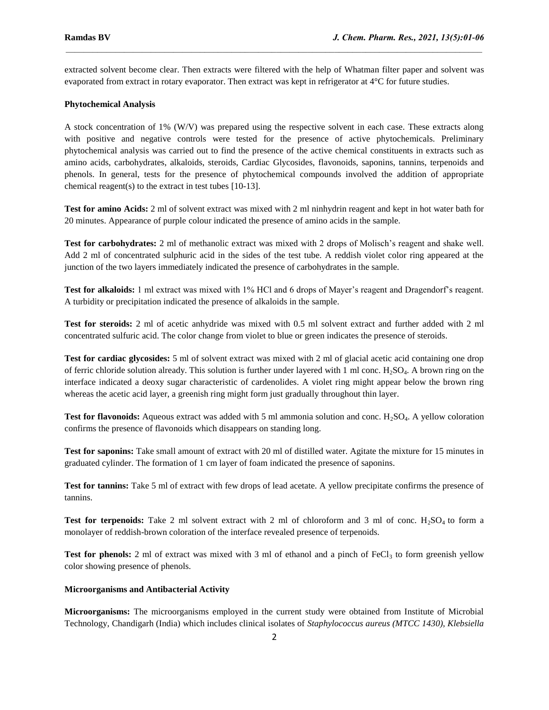extracted solvent become clear. Then extracts were filtered with the help of Whatman filter paper and solvent was evaporated from extract in rotary evaporator. Then extract was kept in refrigerator at 4°C for future studies.

 $\mathcal{L}_\mathcal{L} = \mathcal{L}_\mathcal{L}$ 

## **Phytochemical Analysis**

A stock concentration of 1% (W/V) was prepared using the respective solvent in each case. These extracts along with positive and negative controls were tested for the presence of active phytochemicals. Preliminary phytochemical analysis was carried out to find the presence of the active chemical constituents in extracts such as amino acids, carbohydrates, alkaloids, steroids, Cardiac Glycosides, flavonoids, saponins, tannins, terpenoids and phenols. In general, tests for the presence of phytochemical compounds involved the addition of appropriate chemical reagent(s) to the extract in test tubes [10-13].

**Test for amino Acids:** 2 ml of solvent extract was mixed with 2 ml ninhydrin reagent and kept in hot water bath for 20 minutes. Appearance of purple colour indicated the presence of amino acids in the sample.

**Test for carbohydrates:** 2 ml of methanolic extract was mixed with 2 drops of Molisch's reagent and shake well. Add 2 ml of concentrated sulphuric acid in the sides of the test tube. A reddish violet color ring appeared at the junction of the two layers immediately indicated the presence of carbohydrates in the sample.

**Test for alkaloids:** 1 ml extract was mixed with 1% HCl and 6 drops of Mayer's reagent and Dragendorf's reagent. A turbidity or precipitation indicated the presence of alkaloids in the sample.

**Test for steroids:** 2 ml of acetic anhydride was mixed with 0.5 ml solvent extract and further added with 2 ml concentrated sulfuric acid. The color change from violet to blue or green indicates the presence of steroids.

**Test for cardiac glycosides:** 5 ml of solvent extract was mixed with 2 ml of glacial acetic acid containing one drop of ferric chloride solution already. This solution is further under layered with 1 ml conc.  $H_2SO_4$ . A brown ring on the interface indicated a deoxy sugar characteristic of cardenolides. A violet ring might appear below the brown ring whereas the acetic acid layer, a greenish ring might form just gradually throughout thin layer.

**Test for flavonoids:** Aqueous extract was added with 5 ml ammonia solution and conc. H<sub>2</sub>SO<sub>4</sub>. A yellow coloration confirms the presence of flavonoids which disappears on standing long.

**Test for saponins:** Take small amount of extract with 20 ml of distilled water. Agitate the mixture for 15 minutes in graduated cylinder. The formation of 1 cm layer of foam indicated the presence of saponins.

**Test for tannins:** Take 5 ml of extract with few drops of lead acetate. A yellow precipitate confirms the presence of tannins.

**Test for terpenoids:** Take 2 ml solvent extract with 2 ml of chloroform and 3 ml of conc.  $H_2SO_4$  to form a monolayer of reddish-brown coloration of the interface revealed presence of terpenoids.

**Test for phenols:** 2 ml of extract was mixed with 3 ml of ethanol and a pinch of  $FeCl<sub>3</sub>$  to form greenish yellow color showing presence of phenols.

#### **Microorganisms and Antibacterial Activity**

**Microorganisms:** The microorganisms employed in the current study were obtained from Institute of Microbial Technology, Chandigarh (India) which includes clinical isolates of *Staphylococcus aureus (MTCC 1430), Klebsiella*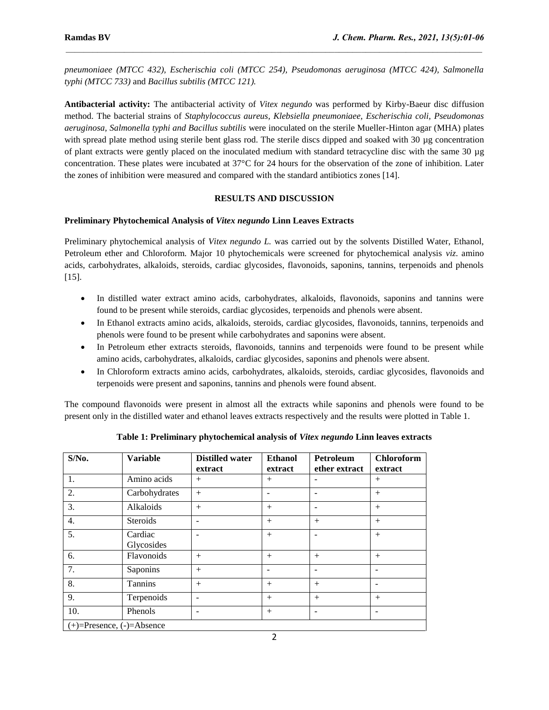*pneumoniaee (MTCC 432), Escherischia coli (MTCC 254), Pseudomonas aeruginosa (MTCC 424), Salmonella typhi (MTCC 733)* and *Bacillus subtilis (MTCC 121).*

 $\mathcal{L}_\mathcal{L} = \mathcal{L}_\mathcal{L}$ 

**Antibacterial activity:** The antibacterial activity of *Vitex negundo* was performed by Kirby-Baeur disc diffusion method. The bacterial strains of *Staphylococcus aureus, Klebsiella pneumoniaee, Escherischia coli, Pseudomonas aeruginosa, Salmonella typhi and Bacillus subtilis* were inoculated on the sterile Mueller-Hinton agar (MHA) plates with spread plate method using sterile bent glass rod. The sterile discs dipped and soaked with 30 µg concentration of plant extracts were gently placed on the inoculated medium with standard tetracycline disc with the same 30 µg concentration. These plates were incubated at 37°C for 24 hours for the observation of the zone of inhibition. Later the zones of inhibition were measured and compared with the standard antibiotics zones [14].

## **RESULTS AND DISCUSSION**

## **Preliminary Phytochemical Analysis of** *Vitex negundo* **Linn Leaves Extracts**

Preliminary phytochemical analysis of *Vitex negundo L.* was carried out by the solvents Distilled Water, Ethanol, Petroleum ether and Chloroform. Major 10 phytochemicals were screened for phytochemical analysis *viz*. amino acids, carbohydrates, alkaloids, steroids, cardiac glycosides, flavonoids, saponins, tannins, terpenoids and phenols [15].

- In distilled water extract amino acids, carbohydrates, alkaloids, flavonoids, saponins and tannins were found to be present while steroids, cardiac glycosides, terpenoids and phenols were absent.
- In Ethanol extracts amino acids, alkaloids, steroids, cardiac glycosides, flavonoids, tannins, terpenoids and phenols were found to be present while carbohydrates and saponins were absent.
- In Petroleum ether extracts steroids, flavonoids, tannins and terpenoids were found to be present while amino acids, carbohydrates, alkaloids, cardiac glycosides, saponins and phenols were absent.
- In Chloroform extracts amino acids, carbohydrates, alkaloids, steroids, cardiac glycosides, flavonoids and terpenoids were present and saponins, tannins and phenols were found absent.

The compound flavonoids were present in almost all the extracts while saponins and phenols were found to be present only in the distilled water and ethanol leaves extracts respectively and the results were plotted in Table 1.

| $S/N0$ .                        | <b>Variable</b>       | <b>Distilled water</b><br>extract | <b>Ethanol</b><br>extract | Petroleum<br>ether extract | <b>Chloroform</b><br>extract |  |  |  |  |  |
|---------------------------------|-----------------------|-----------------------------------|---------------------------|----------------------------|------------------------------|--|--|--|--|--|
| 1.                              | Amino acids           | $+$                               | $^{+}$                    |                            | $^{+}$                       |  |  |  |  |  |
| 2.                              | Carbohydrates         | $+$                               |                           |                            | $^{+}$                       |  |  |  |  |  |
| 3.                              | Alkaloids             | $+$                               | $^{+}$                    |                            | $+$                          |  |  |  |  |  |
| $\overline{4}$ .                | Steroids              |                                   | $^{+}$                    | $+$                        | $^{+}$                       |  |  |  |  |  |
| 5.                              | Cardiac<br>Glycosides |                                   | $+$                       |                            | $+$                          |  |  |  |  |  |
| 6.                              | Flavonoids            | $+$                               | $+$                       | $+$                        | $^{+}$                       |  |  |  |  |  |
| 7.                              | Saponins              | $+$                               |                           |                            | ۰                            |  |  |  |  |  |
| 8.                              | Tannins               | $+$                               | $+$                       | $+$                        | ۰                            |  |  |  |  |  |
| 9.                              | Terpenoids            | $\overline{\phantom{0}}$          | $^{+}$                    | $+$                        | $+$                          |  |  |  |  |  |
| 10.                             | Phenols               | $\qquad \qquad \blacksquare$      | $^{+}$                    |                            | $\qquad \qquad$              |  |  |  |  |  |
| $(+)=$ Presence, $(-)=$ Absence |                       |                                   |                           |                            |                              |  |  |  |  |  |

**Table 1: Preliminary phytochemical analysis of** *Vitex negundo* **Linn leaves extracts**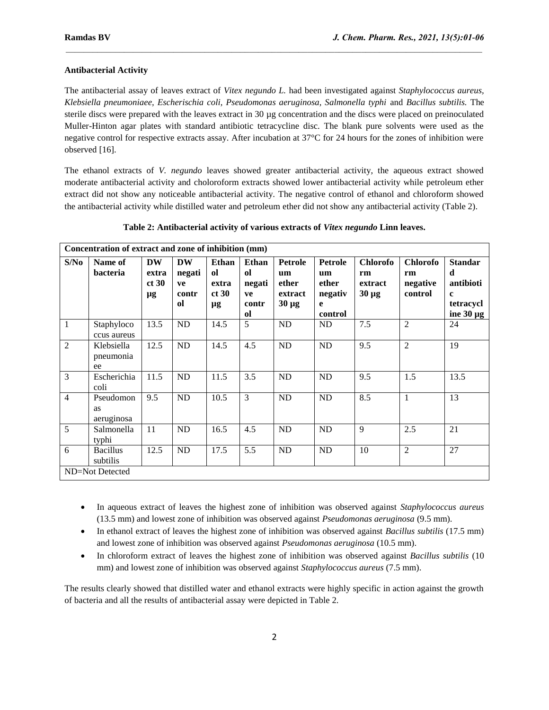### **Antibacterial Activity**

The antibacterial assay of leaves extract of *Vitex negundo L.* had been investigated against *Staphylococcus aureus, Klebsiella pneumoniaee, Escherischia coli, Pseudomonas aeruginosa, Salmonella typhi* and *Bacillus subtilis.* The sterile discs were prepared with the leaves extract in 30 µg concentration and the discs were placed on preinoculated Muller-Hinton agar plates with standard antibiotic tetracycline disc. The blank pure solvents were used as the negative control for respective extracts assay. After incubation at 37°C for 24 hours for the zones of inhibition were observed [16].

 $\mathcal{L}_\mathcal{L} = \mathcal{L}_\mathcal{L}$ 

The ethanol extracts of *V. negundo* leaves showed greater antibacterial activity, the aqueous extract showed moderate antibacterial activity and choloroform extracts showed lower antibacterial activity while petroleum ether extract did not show any noticeable antibacterial activity. The negative control of ethanol and chloroform showed the antibacterial activity while distilled water and petroleum ether did not show any antibacterial activity (Table 2).

| Concentration of extract and zone of inhibition (mm) |                               |                                   |                                          |                                                |                                                                         |                                                        |                                                   |                                                |                                              |                                                                                |  |  |
|------------------------------------------------------|-------------------------------|-----------------------------------|------------------------------------------|------------------------------------------------|-------------------------------------------------------------------------|--------------------------------------------------------|---------------------------------------------------|------------------------------------------------|----------------------------------------------|--------------------------------------------------------------------------------|--|--|
| S/No                                                 | Name of<br><b>bacteria</b>    | <b>DW</b><br>extra<br>ct 30<br>μg | <b>DW</b><br>negati<br>ve<br>contr<br>оl | Ethan<br><sub>ol</sub><br>extra<br>ct 30<br>μg | <b>Ethan</b><br><sub>ol</sub><br>negati<br>ve<br>contr<br><sub>ol</sub> | <b>Petrole</b><br>um<br>ether<br>extract<br>$30 \mu g$ | Petrole<br>um<br>ether<br>negativ<br>e<br>control | <b>Chlorofo</b><br>rm<br>extract<br>$30 \mu g$ | <b>Chlorofo</b><br>rm<br>negative<br>control | <b>Standar</b><br>d<br>antibioti<br>$\mathbf c$<br>tetracycl<br>ine $30 \mu g$ |  |  |
| $\mathbf{1}$                                         | Staphyloco<br>ccus aureus     | 13.5                              | ND                                       | 14.5                                           | 5                                                                       | <b>ND</b>                                              | ND                                                | 7.5                                            | $\overline{2}$                               | 24                                                                             |  |  |
| $\overline{2}$                                       | Klebsiella<br>pneumonia<br>ee | 12.5                              | ND                                       | 14.5                                           | 4.5                                                                     | ND                                                     | ND                                                | 9.5                                            | $\overline{2}$                               | 19                                                                             |  |  |
| 3                                                    | Escherichia<br>coli           | 11.5                              | <b>ND</b>                                | 11.5                                           | 3.5                                                                     | <b>ND</b>                                              | <b>ND</b>                                         | 9.5                                            | 1.5                                          | 13.5                                                                           |  |  |
| $\overline{4}$                                       | Pseudomon<br>as<br>aeruginosa | 9.5                               | ND                                       | 10.5                                           | 3                                                                       | ND                                                     | ND                                                | 8.5                                            | $\mathbf{1}$                                 | 13                                                                             |  |  |
| 5                                                    | Salmonella<br>typhi           | 11                                | <b>ND</b>                                | 16.5                                           | 4.5                                                                     | <b>ND</b>                                              | ND                                                | 9                                              | 2.5                                          | 21                                                                             |  |  |
| 6                                                    | <b>Bacillus</b><br>subtilis   | 12.5                              | <b>ND</b>                                | 17.5                                           | 5.5                                                                     | <b>ND</b>                                              | <b>ND</b>                                         | 10                                             | $\overline{2}$                               | 27                                                                             |  |  |
| ND=Not Detected                                      |                               |                                   |                                          |                                                |                                                                         |                                                        |                                                   |                                                |                                              |                                                                                |  |  |

- In aqueous extract of leaves the highest zone of inhibition was observed against *Staphylococcus aureus* (13.5 mm) and lowest zone of inhibition was observed against *Pseudomonas aeruginosa* (9.5 mm).
- In ethanol extract of leaves the highest zone of inhibition was observed against *Bacillus subtilis* (17.5 mm) and lowest zone of inhibition was observed against *Pseudomonas aeruginosa* (10.5 mm).
- In chloroform extract of leaves the highest zone of inhibition was observed against *Bacillus subtilis* (10 mm) and lowest zone of inhibition was observed against *Staphylococcus aureus* (7.5 mm).

The results clearly showed that distilled water and ethanol extracts were highly specific in action against the growth of bacteria and all the results of antibacterial assay were depicted in Table 2.